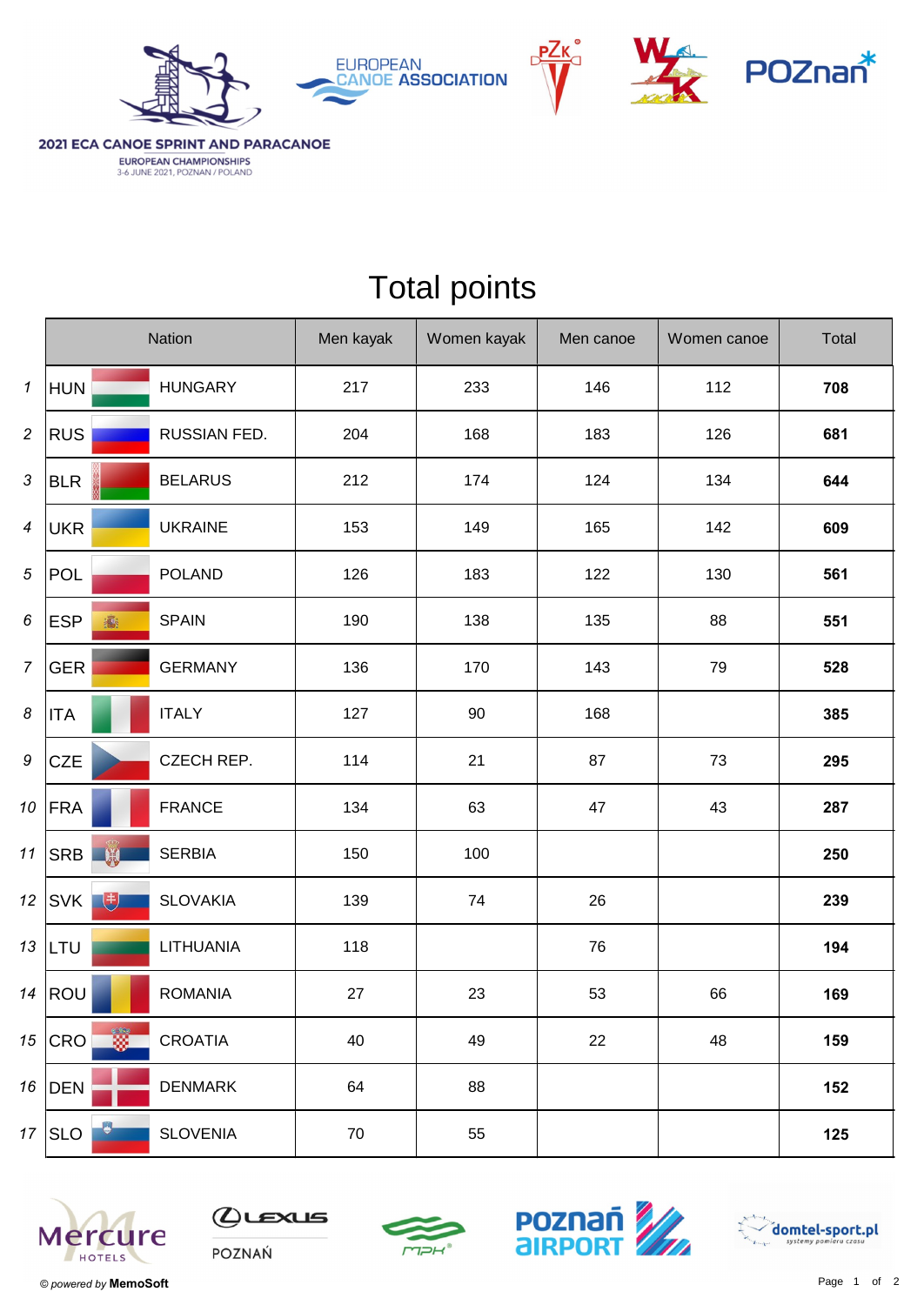





2021 ECA CANOE SPRINT AND PARACANOE EUROPEAN CHAMPIONSHIPS<br>3-6 JUNE 2021, POZNAN / POLAND

|                            | Nation                |                 | Men kayak | Women kayak | Men canoe | Women canoe | Total |
|----------------------------|-----------------------|-----------------|-----------|-------------|-----------|-------------|-------|
| $\boldsymbol{\mathcal{I}}$ | <b>HUN</b>            | <b>HUNGARY</b>  | 217       | 233         | 146       | 112         | 708   |
| $\overline{c}$             | <b>RUS</b>            | RUSSIAN FED.    | 204       | 168         | 183       | 126         | 681   |
| $\sqrt{3}$                 | <b>BLR</b>            | <b>BELARUS</b>  | 212       | 174         | 124       | 134         | 644   |
| $\boldsymbol{4}$           | <b>UKR</b>            | <b>UKRAINE</b>  | 153       | 149         | 165       | 142         | 609   |
| 5                          | <b>POL</b>            | <b>POLAND</b>   | 126       | 183         | 122       | 130         | 561   |
| 6                          | <b>ESP</b><br>瓣       | <b>SPAIN</b>    | 190       | 138         | 135       | 88          | 551   |
| $\overline{7}$             | <b>GER</b>            | <b>GERMANY</b>  | 136       | 170         | 143       | 79          | 528   |
| 8                          | <b>ITA</b>            | <b>ITALY</b>    | 127       | 90          | 168       |             | 385   |
| 9                          | <b>CZE</b>            | CZECH REP.      | 114       | 21          | 87        | 73          | 295   |
| 10                         | <b>FRA</b>            | <b>FRANCE</b>   | 134       | 63          | 47        | 43          | 287   |
| 11                         | <b>SRB</b>            | <b>SERBIA</b>   | 150       | 100         |           |             | 250   |
| 12                         | 电<br><b>SVK</b>       | <b>SLOVAKIA</b> | 139       | 74          | 26        |             | 239   |
| 13                         | LTU                   | LITHUANIA       | 118       |             | 76        |             | 194   |
| 14                         | ROU                   | <b>ROMANIA</b>  | 27        | 23          | 53        | 66          | 169   |
| 15                         | œ.<br>CRO             | <b>CROATIA</b>  | 40        | 49          | 22        | 48          | 159   |
| 16                         | <b>DEN</b>            | <b>DENMARK</b>  | 64        | 88          |           |             | 152   |
| 17                         | $\circ$<br><b>SLO</b> | <b>SLOVENIA</b> | $70\,$    | 55          |           |             | 125   |

## Total points